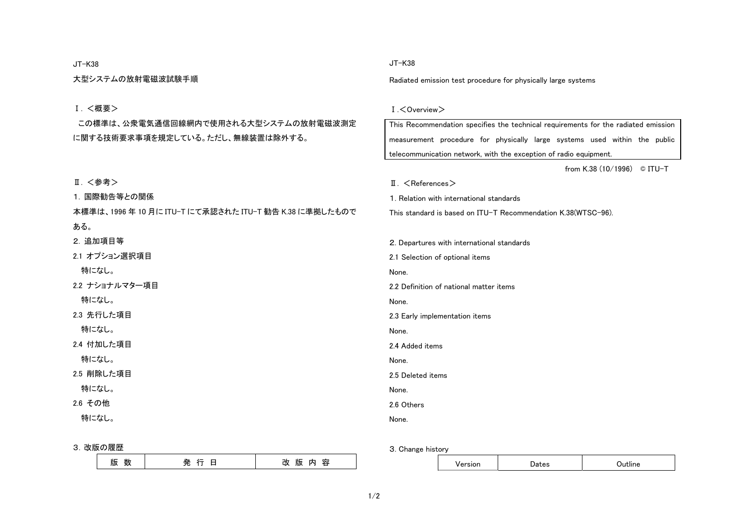#### JT-K38

大型システムの放射電磁波試験手順

#### Ⅰ. <概要>

 この標準は、公衆電気通信回線網内で使用される大型システムの放射電磁波測定 に関する技術要求事項を規定している。ただし、無線装置は除外する。

# Ⅱ. <参考>

1. 国際勧告等との関係

本標準は、1996 年 10 月に ITU-T にて承認された ITU-T 勧告 K.38 に準拠したもので ある。

2. 追加項目等

2.1 オプション選択項目

特になし。

2.2 ナショナルマター項目

特になし。

2.3 先行した項目

特になし。

2.4 付加した項目

特になし。

2.5 削除した項目

特になし。

2.6 その他

特になし。

#### 3. 改版の履歴

| ste.<br>$\sim$<br>עת<br>્<br>$\sim$ $\sim$<br>the contract of the contract of | 24.<br>m.<br>שו<br>- |
|-------------------------------------------------------------------------------|----------------------|
|-------------------------------------------------------------------------------|----------------------|

## JT-K38

Radiated emission test procedure for physically large systems

### Ⅰ.<Overview>

| This Recommendation specifies the technical requirements for the radiated emission |  |  |  |  |  |  |
|------------------------------------------------------------------------------------|--|--|--|--|--|--|
| measurement procedure for physically large systems used within the public          |  |  |  |  |  |  |
| telecommunication network, with the exception of radio equipment.                  |  |  |  |  |  |  |
| from K.38 $(10/1996)$<br>© ITU-T                                                   |  |  |  |  |  |  |
| $\mathbb{I}$ . $\leq$ References $>$                                               |  |  |  |  |  |  |
| 1. Relation with international standards                                           |  |  |  |  |  |  |
| This standard is based on ITU-T Recommendation K.38(WTSC-96).                      |  |  |  |  |  |  |
|                                                                                    |  |  |  |  |  |  |
| 2. Departures with international standards                                         |  |  |  |  |  |  |
| 2.1 Selection of optional items                                                    |  |  |  |  |  |  |
| None.                                                                              |  |  |  |  |  |  |
| 2.2 Definition of national matter items                                            |  |  |  |  |  |  |
| None.                                                                              |  |  |  |  |  |  |
| 2.3 Early implementation items                                                     |  |  |  |  |  |  |
| None.                                                                              |  |  |  |  |  |  |
| 2.4 Added items                                                                    |  |  |  |  |  |  |
| None.                                                                              |  |  |  |  |  |  |
| 2.5 Deleted items                                                                  |  |  |  |  |  |  |
| None.                                                                              |  |  |  |  |  |  |
| 2.6 Others                                                                         |  |  |  |  |  |  |
| None.                                                                              |  |  |  |  |  |  |

3. Change history

|--|--|--|--|